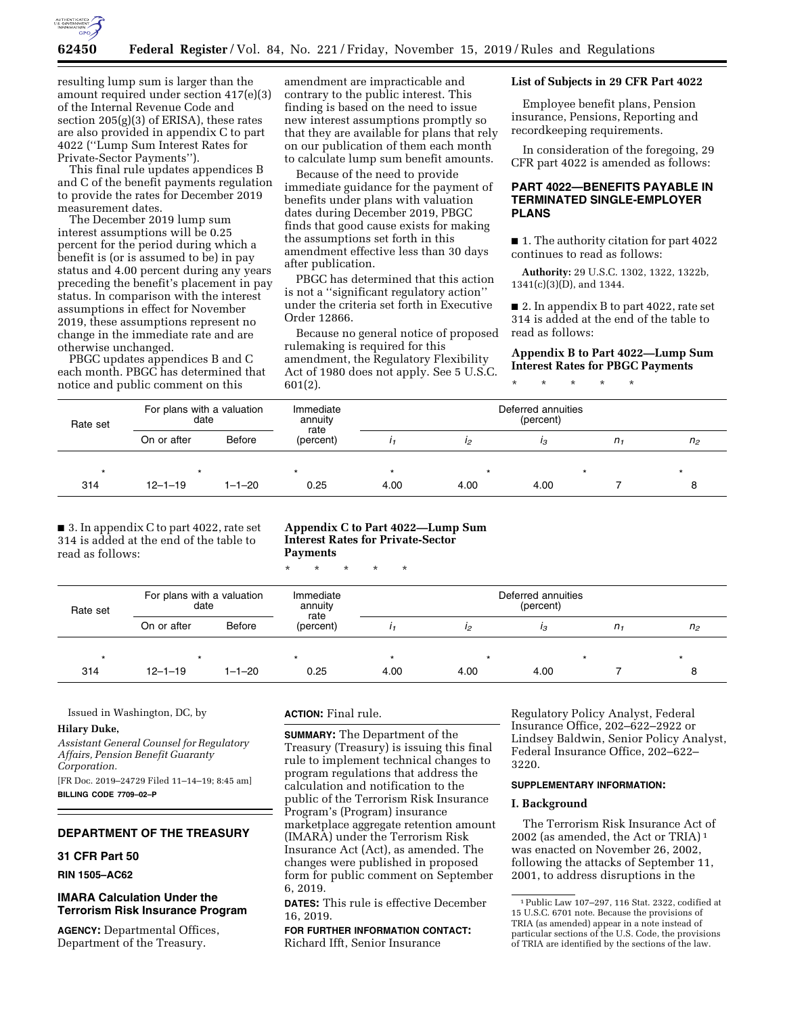

resulting lump sum is larger than the amount required under section 417(e)(3) of the Internal Revenue Code and section 205(g)(3) of ERISA), these rates are also provided in appendix C to part 4022 (''Lump Sum Interest Rates for Private-Sector Payments'').

This final rule updates appendices B and C of the benefit payments regulation to provide the rates for December 2019 measurement dates.

The December 2019 lump sum interest assumptions will be 0.25 percent for the period during which a benefit is (or is assumed to be) in pay status and 4.00 percent during any years preceding the benefit's placement in pay status. In comparison with the interest assumptions in effect for November 2019, these assumptions represent no change in the immediate rate and are otherwise unchanged.

PBGC updates appendices B and C each month. PBGC has determined that notice and public comment on this

amendment are impracticable and contrary to the public interest. This finding is based on the need to issue new interest assumptions promptly so that they are available for plans that rely on our publication of them each month to calculate lump sum benefit amounts.

Because of the need to provide immediate guidance for the payment of benefits under plans with valuation dates during December 2019, PBGC finds that good cause exists for making the assumptions set forth in this amendment effective less than 30 days after publication.

PBGC has determined that this action is not a ''significant regulatory action'' under the criteria set forth in Executive Order 12866.

Because no general notice of proposed rulemaking is required for this amendment, the Regulatory Flexibility Act of 1980 does not apply. See 5 U.S.C. 601(2).

## **List of Subjects in 29 CFR Part 4022**

Employee benefit plans, Pension insurance, Pensions, Reporting and recordkeeping requirements.

In consideration of the foregoing, 29 CFR part 4022 is amended as follows:

# **PART 4022—BENEFITS PAYABLE IN TERMINATED SINGLE-EMPLOYER PLANS**

■ 1. The authority citation for part 4022 continues to read as follows:

**Authority:** 29 U.S.C. 1302, 1322, 1322b, 1341(c)(3)(D), and 1344.

■ 2. In appendix B to part 4022, rate set 314 is added at the end of the table to read as follows:

# **Appendix B to Part 4022—Lump Sum Interest Rates for PBGC Payments**

\* \* \* \* \*

| Rate set | For plans with a valuation<br>date |              | Immediate<br>annuity | Deferred annuities<br>(percent) |         |      |                |                |  |
|----------|------------------------------------|--------------|----------------------|---------------------------------|---------|------|----------------|----------------|--|
|          | On or after                        | Before       | rate<br>(percent)    |                                 | 12      | ıз   | n <sub>1</sub> | n <sub>2</sub> |  |
| ×        | $\star$                            |              | $\star$              |                                 | $\star$ |      |                | $\star$        |  |
| 314      | $12 - 1 - 19$                      | $1 - 1 - 20$ | 0.25                 | 4.00                            | 4.00    | 4.00 |                |                |  |

■ 3. In appendix C to part 4022, rate set 314 is added at the end of the table to read as follows:

**Appendix C to Part 4022—Lump Sum Interest Rates for Private-Sector Payments** 

\* \* \* \* \*

| Rate set | For plans with a valuation<br>date |              | Immediate<br>annuity | Deferred annuities<br>(percent) |      |      |         |                |  |
|----------|------------------------------------|--------------|----------------------|---------------------------------|------|------|---------|----------------|--|
|          | On or after                        | Before       | rate<br>(percent)    |                                 | 12   | Iз   | $n_{1}$ | n <sub>2</sub> |  |
|          | $\star$                            |              | $\star$              |                                 |      |      |         |                |  |
| 314      | $12 - 1 - 19$                      | $1 - 1 - 20$ | 0.25                 | 4.00                            | 4.00 | 4.00 |         |                |  |

Issued in Washington, DC, by

#### **Hilary Duke,**

*Assistant General Counsel for Regulatory Affairs, Pension Benefit Guaranty Corporation.*  [FR Doc. 2019–24729 Filed 11–14–19; 8:45 am]

**BILLING CODE 7709–02–P** 

# **DEPARTMENT OF THE TREASURY**

# **31 CFR Part 50**

**RIN 1505–AC62** 

# **IMARA Calculation Under the Terrorism Risk Insurance Program**

**AGENCY:** Departmental Offices, Department of the Treasury.

# **ACTION:** Final rule.

**SUMMARY:** The Department of the Treasury (Treasury) is issuing this final rule to implement technical changes to program regulations that address the calculation and notification to the public of the Terrorism Risk Insurance Program's (Program) insurance marketplace aggregate retention amount (IMARA) under the Terrorism Risk Insurance Act (Act), as amended. The changes were published in proposed form for public comment on September 6, 2019.

**DATES:** This rule is effective December 16, 2019.

**FOR FURTHER INFORMATION CONTACT:**  Richard Ifft, Senior Insurance

Regulatory Policy Analyst, Federal Insurance Office, 202–622–2922 or Lindsey Baldwin, Senior Policy Analyst, Federal Insurance Office, 202–622– 3220.

#### **SUPPLEMENTARY INFORMATION:**

### **I. Background**

The Terrorism Risk Insurance Act of 2002 (as amended, the Act or TRIA) 1 was enacted on November 26, 2002, following the attacks of September 11, 2001, to address disruptions in the

<sup>1</sup>Public Law 107–297, 116 Stat. 2322, codified at 15 U.S.C. 6701 note. Because the provisions of TRIA (as amended) appear in a note instead of particular sections of the U.S. Code, the provisions of TRIA are identified by the sections of the law.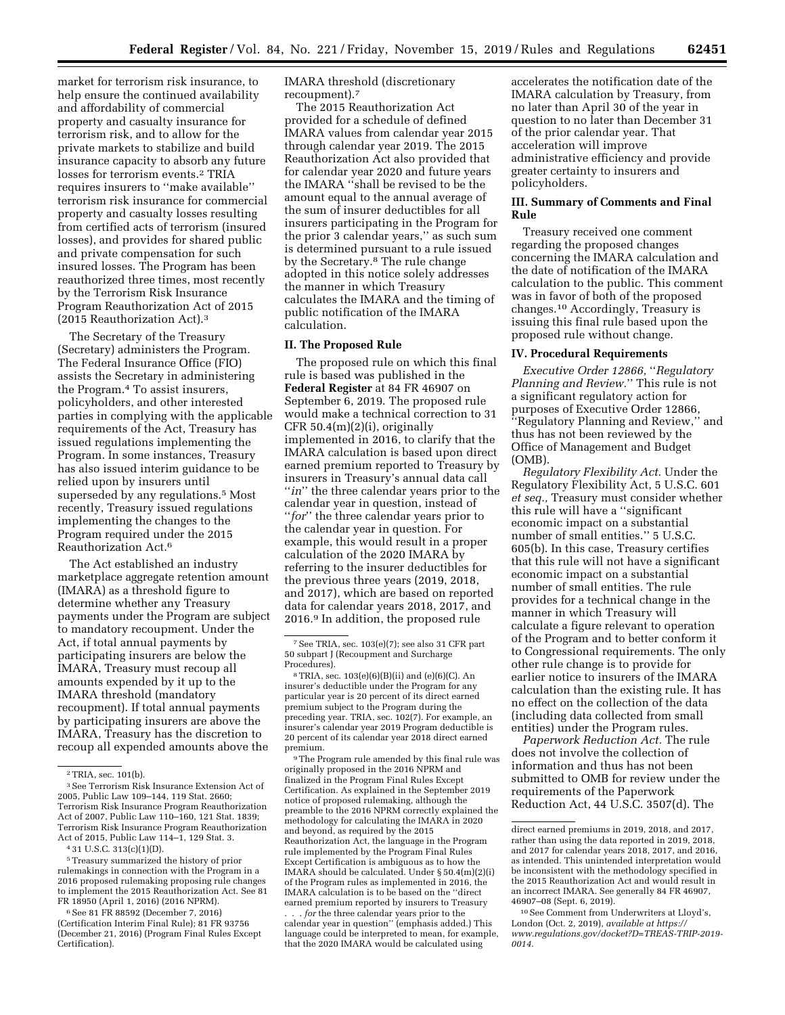market for terrorism risk insurance, to help ensure the continued availability and affordability of commercial property and casualty insurance for terrorism risk, and to allow for the private markets to stabilize and build insurance capacity to absorb any future losses for terrorism events.2 TRIA requires insurers to ''make available'' terrorism risk insurance for commercial property and casualty losses resulting from certified acts of terrorism (insured losses), and provides for shared public and private compensation for such insured losses. The Program has been reauthorized three times, most recently by the Terrorism Risk Insurance Program Reauthorization Act of 2015 (2015 Reauthorization Act).3

The Secretary of the Treasury (Secretary) administers the Program. The Federal Insurance Office (FIO) assists the Secretary in administering the Program.4 To assist insurers, policyholders, and other interested parties in complying with the applicable requirements of the Act, Treasury has issued regulations implementing the Program. In some instances, Treasury has also issued interim guidance to be relied upon by insurers until superseded by any regulations.5 Most recently, Treasury issued regulations implementing the changes to the Program required under the 2015 Reauthorization Act.6

The Act established an industry marketplace aggregate retention amount (IMARA) as a threshold figure to determine whether any Treasury payments under the Program are subject to mandatory recoupment. Under the Act, if total annual payments by participating insurers are below the IMARA, Treasury must recoup all amounts expended by it up to the IMARA threshold (mandatory recoupment). If total annual payments by participating insurers are above the IMARA, Treasury has the discretion to recoup all expended amounts above the

5Treasury summarized the history of prior rulemakings in connection with the Program in a 2016 proposed rulemaking proposing rule changes to implement the 2015 Reauthorization Act. See 81 FR 18950 (April 1, 2016) (2016 NPRM).

6See 81 FR 88592 (December 7, 2016) (Certification Interim Final Rule); 81 FR 93756 (December 21, 2016) (Program Final Rules Except Certification).

IMARA threshold (discretionary recoupment).7

The 2015 Reauthorization Act provided for a schedule of defined IMARA values from calendar year 2015 through calendar year 2019. The 2015 Reauthorization Act also provided that for calendar year 2020 and future years the IMARA ''shall be revised to be the amount equal to the annual average of the sum of insurer deductibles for all insurers participating in the Program for the prior 3 calendar years,'' as such sum is determined pursuant to a rule issued by the Secretary.8 The rule change adopted in this notice solely addresses the manner in which Treasury calculates the IMARA and the timing of public notification of the IMARA calculation.

### **II. The Proposed Rule**

The proposed rule on which this final rule is based was published in the **Federal Register** at 84 FR 46907 on September 6, 2019. The proposed rule would make a technical correction to 31 CFR  $50.4(m)(2)(i)$ , originally implemented in 2016, to clarify that the IMARA calculation is based upon direct earned premium reported to Treasury by insurers in Treasury's annual data call "*in*" the three calendar years prior to the calendar year in question, instead of "*for*" the three calendar years prior to the calendar year in question. For example, this would result in a proper calculation of the 2020 IMARA by referring to the insurer deductibles for the previous three years (2019, 2018, and 2017), which are based on reported data for calendar years 2018, 2017, and 2016.9 In addition, the proposed rule

9The Program rule amended by this final rule was originally proposed in the 2016 NPRM and finalized in the Program Final Rules Except Certification. As explained in the September 2019 notice of proposed rulemaking, although the preamble to the 2016 NPRM correctly explained the methodology for calculating the IMARA in 2020 and beyond, as required by the 2015 Reauthorization Act, the language in the Program rule implemented by the Program Final Rules Except Certification is ambiguous as to how the IMARA should be calculated. Under § 50.4(m)(2)(i) of the Program rules as implemented in 2016, the IMARA calculation is to be based on the ''direct earned premium reported by insurers to Treasury . . . *for* the three calendar years prior to the calendar year in question'' (emphasis added.) This language could be interpreted to mean, for example, that the 2020 IMARA would be calculated using

accelerates the notification date of the IMARA calculation by Treasury, from no later than April 30 of the year in question to no later than December 31 of the prior calendar year. That acceleration will improve administrative efficiency and provide greater certainty to insurers and policyholders.

# **III. Summary of Comments and Final Rule**

Treasury received one comment regarding the proposed changes concerning the IMARA calculation and the date of notification of the IMARA calculation to the public. This comment was in favor of both of the proposed changes.10 Accordingly, Treasury is issuing this final rule based upon the proposed rule without change.

#### **IV. Procedural Requirements**

*Executive Order 12866,* ''*Regulatory Planning and Review.*'' This rule is not a significant regulatory action for purposes of Executive Order 12866, ''Regulatory Planning and Review,'' and thus has not been reviewed by the Office of Management and Budget (OMB).

*Regulatory Flexibility Act.* Under the Regulatory Flexibility Act, 5 U.S.C. 601 *et seq.,* Treasury must consider whether this rule will have a ''significant economic impact on a substantial number of small entities.'' 5 U.S.C. 605(b). In this case, Treasury certifies that this rule will not have a significant economic impact on a substantial number of small entities. The rule provides for a technical change in the manner in which Treasury will calculate a figure relevant to operation of the Program and to better conform it to Congressional requirements. The only other rule change is to provide for earlier notice to insurers of the IMARA calculation than the existing rule. It has no effect on the collection of the data (including data collected from small entities) under the Program rules.

*Paperwork Reduction Act.* The rule does not involve the collection of information and thus has not been submitted to OMB for review under the requirements of the Paperwork Reduction Act, 44 U.S.C. 3507(d). The

10See Comment from Underwriters at Lloyd's, London (Oct. 2, 2019), *available at [https://](https://www.regulations.gov/docket?D=TREAS-TRIP-2019-0014) [www.regulations.gov/docket?D=TREAS-TRIP-2019-](https://www.regulations.gov/docket?D=TREAS-TRIP-2019-0014) [0014.](https://www.regulations.gov/docket?D=TREAS-TRIP-2019-0014)* 

<sup>2</sup>TRIA, sec. 101(b).

<sup>3</sup>See Terrorism Risk Insurance Extension Act of 2005, Public Law 109–144, 119 Stat. 2660; Terrorism Risk Insurance Program Reauthorization Act of 2007, Public Law 110–160, 121 Stat. 1839; Terrorism Risk Insurance Program Reauthorization Act of 2015, Public Law 114–1, 129 Stat. 3.

<sup>4</sup> 31 U.S.C. 313(c)(1)(D).

<sup>7</sup>See TRIA, sec. 103(e)(7); see also 31 CFR part 50 subpart J (Recoupment and Surcharge Procedures).

<sup>8</sup>TRIA, sec. 103(e)(6)(B)(ii) and (e)(6)(C). An insurer's deductible under the Program for any particular year is 20 percent of its direct earned premium subject to the Program during the preceding year. TRIA, sec. 102(7). For example, an insurer's calendar year 2019 Program deductible is 20 percent of its calendar year 2018 direct earned premium.

direct earned premiums in 2019, 2018, and 2017, rather than using the data reported in 2019, 2018, and 2017 for calendar years 2018, 2017, and 2016, as intended. This unintended interpretation would be inconsistent with the methodology specified in the 2015 Reauthorization Act and would result in an incorrect IMARA. See generally 84 FR 46907, 46907–08 (Sept. 6, 2019).